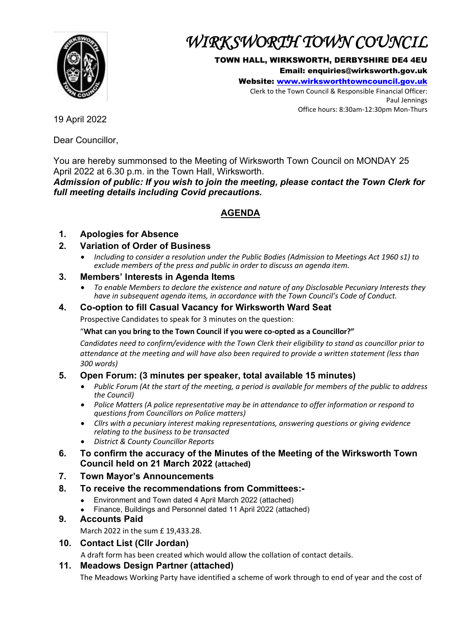

# *WIRKSWORTH TOWN COUNCIL*

#### TOWN HALL, WIRKSWORTH, DERBYSHIRE DE4 4EU

Email: enquiries@wirksworth.gov.uk

Website: [www.wirksworthtowncouncil.gov.uk](http://www.wirksworthtowncouncil.gov.uk/)

Clerk to the Town Council & Responsible Financial Officer: Paul Jennings Office hours: 8:30am-12:30pm Mon-Thurs

19 April 2022

Dear Councillor,

You are hereby summonsed to the Meeting of Wirksworth Town Council on MONDAY 25 April 2022 at 6.30 p.m. in the Town Hall, Wirksworth.

*Admission of public: If you wish to join the meeting, please contact the Town Clerk for full meeting details including Covid precautions.*

## **AGENDA**

## **1. Apologies for Absence**

## **2. Variation of Order of Business**

• *Including to consider a resolution under the Public Bodies (Admission to Meetings Act 1960 s1) to exclude members of the press and public in order to discuss an agenda item.*

## **3. Members' Interests in Agenda Items**

• *To enable Members to declare the existence and nature of any Disclosable Pecuniary Interests they have in subsequent agenda items, in accordance with the Town Council's Code of Conduct.* 

## **4. Co-option to fill Casual Vacancy for Wirksworth Ward Seat**

Prospective Candidates to speak for 3 minutes on the question:

## "**What can you bring to the Town Council if you were co-opted as a Councillor?"**

*Candidates need to confirm/evidence with the Town Clerk their eligibility to stand as councillor prior to attendance at the meeting and will have also been required to provide a written statement (less than 300 words)* 

## **5. Open Forum: (3 minutes per speaker, total available 15 minutes)**

- *Public Forum (At the start of the meeting, a period is available for members of the public to address the Council)*
- *Police Matters (A police representative may be in attendance to offer information or respond to questions from Councillors on Police matters)*
- *Cllrs with a pecuniary interest making representations, answering questions or giving evidence relating to the business to be transacted*
- *District & County Councillor Reports*
- **6. To confirm the accuracy of the Minutes of the Meeting of the Wirksworth Town Council held on 21 March 2022 (attached)**
- **7. Town Mayor's Announcements**
- **8. To receive the recommendations from Committees:-**
	- Environment and Town dated 4 April March 2022 (attached)
	- Finance, Buildings and Personnel dated 11 April 2022 (attached)

## **9. Accounts Paid**

March 2022 in the sum £ 19,433.28.

**10. Contact List (Cllr Jordan)**

A draft form has been created which would allow the collation of contact details.

## **11. Meadows Design Partner (attached)**

The Meadows Working Party have identified a scheme of work through to end of year and the cost of